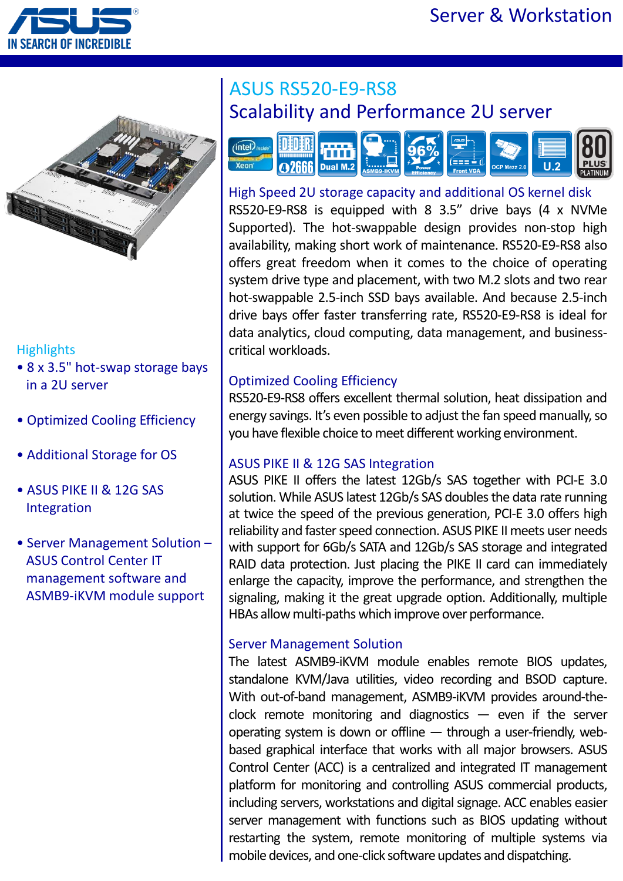



#### **Highlights**

- 8 x 3.5" hot-swap storage bays in a 2U server
- Optimized Cooling Efficiency
- Additional Storage for OS
- ASUS PIKE II & 12G SAS Integration
- Server Management Solution ASUS Control Center IT management software and ASMB9-iKVM module support

# ASUS RS520-E9-RS8 Scalability and Performance 2U server



### High Speed 2U storage capacity and additional OS kernel disk

RS520-E9-RS8 is equipped with 8 3.5" drive bays (4 x NVMe Supported). The hot-swappable design provides non-stop high availability, making short work of maintenance. RS520-E9-RS8 also offers great freedom when it comes to the choice of operating system drive type and placement, with two M.2 slots and two rear hot-swappable 2.5-inch SSD bays available. And because 2.5-inch drive bays offer faster transferring rate, RS520-E9-RS8 is ideal for data analytics, cloud computing, data management, and businesscritical workloads.

### Optimized Cooling Efficiency

RS520-E9-RS8 offers excellent thermal solution, heat dissipation and energy savings. It's even possible to adjust the fan speed manually, so you have flexible choice to meet different working environment.

#### ASUS PIKE II & 12G SAS Integration

ASUS PIKE II offers the latest 12Gb/s SAS together with PCI-E 3.0 solution. While ASUS latest 12Gb/s SAS doubles the data rate running at twice the speed of the previous generation, PCI-E 3.0 offers high reliability and faster speed connection. ASUS PIKE II meets user needs with support for 6Gb/s SATA and 12Gb/s SAS storage and integrated RAID data protection. Just placing the PIKE II card can immediately enlarge the capacity, improve the performance, and strengthen the signaling, making it the great upgrade option. Additionally, multiple HBAs allow multi-paths which improve over performance.

#### Server Management Solution

The latest ASMB9-iKVM module enables remote BIOS updates, standalone KVM/Java utilities, video recording and BSOD capture. With out-of-band management, ASMB9-iKVM provides around-theclock remote monitoring and diagnostics  $-$  even if the server operating system is down or offline — through a user-friendly, webbased graphical interface that works with all major browsers. ASUS Control Center (ACC) is a centralized and integrated IT management platform for monitoring and controlling ASUS commercial products, including servers, workstations and digital signage. ACC enables easier server management with functions such as BIOS updating without restarting the system, remote monitoring of multiple systems via mobile devices, and one-click software updates and dispatching.